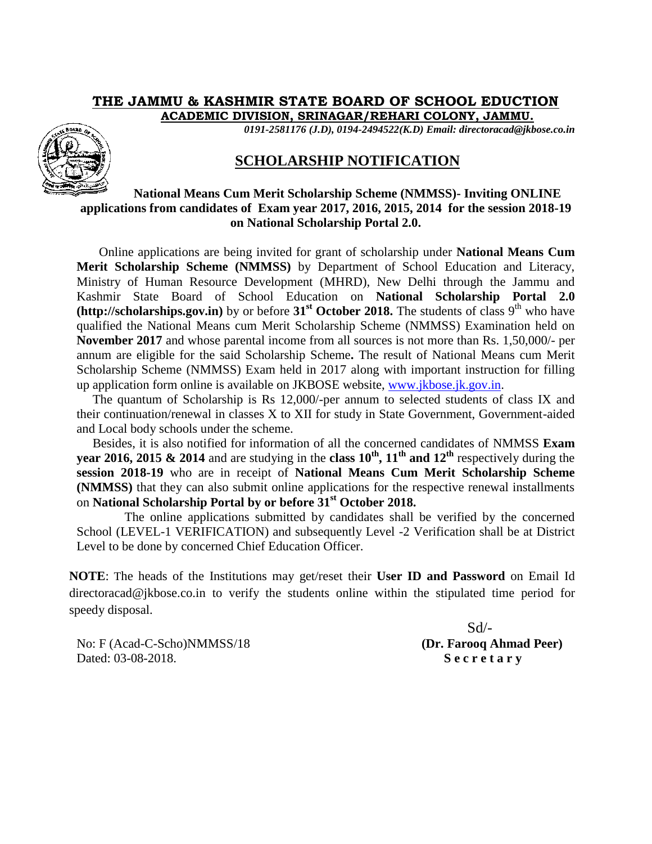## **THE JAMMU & KASHMIR STATE BOARD OF SCHOOL EDUCTION**

**ACADEMIC DIVISION, SRINAGAR/REHARI COLONY, JAMMU.**

*0191-2581176 (J.D), 0194-2494522(K.D) Email: directoracad@jkbose.co.in*



## **SCHOLARSHIP NOTIFICATION**

## **National Means Cum Merit Scholarship Scheme (NMMSS)- Inviting ONLINE applications from candidates of Exam year 2017, 2016, 2015, 2014 for the session 2018-19 on National Scholarship Portal 2.0.**

Online applications are being invited for grant of scholarship under **National Means Cum Merit Scholarship Scheme (NMMSS)** by Department of School Education and Literacy, Ministry of Human Resource Development (MHRD), New Delhi through the Jammu and Kashmir State Board of School Education on **National Scholarship Portal 2.0 (http://scholarships.gov.in)** by or before  $31<sup>st</sup>$  **October 2018.** The students of class 9<sup>th</sup> who have qualified the National Means cum Merit Scholarship Scheme (NMMSS) Examination held on **November 2017** and whose parental income from all sources is not more than Rs. 1,50,000/- per annum are eligible for the said Scholarship Scheme**.** The result of National Means cum Merit Scholarship Scheme (NMMSS) Exam held in 2017 along with important instruction for filling up application form online is available on JKBOSE website, [www.jkbose.jk.gov.in.](http://www.jkbose.jk.gov.in/)

 The quantum of Scholarship is Rs 12,000/-per annum to selected students of class IX and their continuation/renewal in classes X to XII for study in State Government, Government-aided and Local body schools under the scheme.

 Besides, it is also notified for information of all the concerned candidates of NMMSS **Exam year 2016, 2015 & 2014** and are studying in the **class 10th, 11th and 12th** respectively during the **session 2018-19** who are in receipt of **National Means Cum Merit Scholarship Scheme (NMMSS)** that they can also submit online applications for the respective renewal installments on **National Scholarship Portal by or before 31st October 2018.**

 The online applications submitted by candidates shall be verified by the concerned School (LEVEL-1 VERIFICATION) and subsequently Level -2 Verification shall be at District Level to be done by concerned Chief Education Officer.

**NOTE**: The heads of the Institutions may get/reset their **User ID and Password** on Email Id directoracad@jkbose.co.in to verify the students online within the stipulated time period for speedy disposal.

No: F (Acad-C-Scho)NMMSS/18 **(Dr. Farooq Ahmad Peer)** Dated: 03-08-2018. **S e c r e t a r y**

 $Sd$ <sup>-</sup>